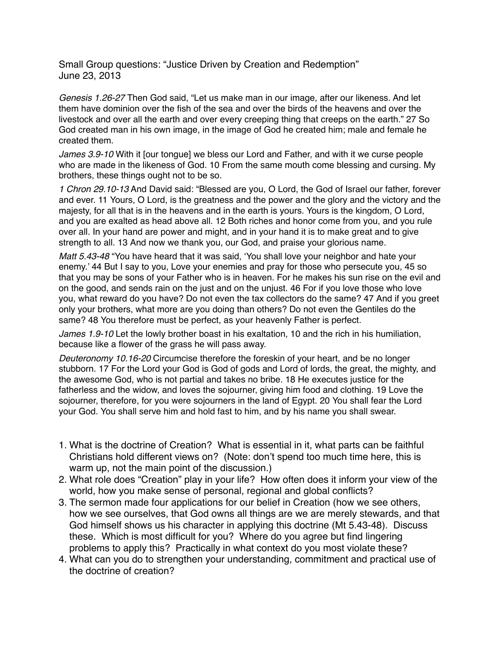Small Group questions: "Justice Driven by Creation and Redemption" June 23, 2013

*Genesis 1.26-27* Then God said, "Let us make man in our image, after our likeness. And let them have dominion over the fish of the sea and over the birds of the heavens and over the livestock and over all the earth and over every creeping thing that creeps on the earth." 27 So God created man in his own image, in the image of God he created him; male and female he created them.

*James 3.9-10* With it [our tongue] we bless our Lord and Father, and with it we curse people who are made in the likeness of God. 10 From the same mouth come blessing and cursing. My brothers, these things ought not to be so.

*1 Chron 29.10-13* And David said: "Blessed are you, O Lord, the God of Israel our father, forever and ever. 11 Yours, O Lord, is the greatness and the power and the glory and the victory and the majesty, for all that is in the heavens and in the earth is yours. Yours is the kingdom, O Lord, and you are exalted as head above all. 12 Both riches and honor come from you, and you rule over all. In your hand are power and might, and in your hand it is to make great and to give strength to all. 13 And now we thank you, our God, and praise your glorious name.

*Matt 5.43-48* "You have heard that it was said, 'You shall love your neighbor and hate your enemy.' 44 But I say to you, Love your enemies and pray for those who persecute you, 45 so that you may be sons of your Father who is in heaven. For he makes his sun rise on the evil and on the good, and sends rain on the just and on the unjust. 46 For if you love those who love you, what reward do you have? Do not even the tax collectors do the same? 47 And if you greet only your brothers, what more are you doing than others? Do not even the Gentiles do the same? 48 You therefore must be perfect, as your heavenly Father is perfect.

*James 1.9-10* Let the lowly brother boast in his exaltation, 10 and the rich in his humiliation, because like a flower of the grass he will pass away.

*Deuteronomy 10.16-20* Circumcise therefore the foreskin of your heart, and be no longer stubborn. 17 For the Lord your God is God of gods and Lord of lords, the great, the mighty, and the awesome God, who is not partial and takes no bribe. 18 He executes justice for the fatherless and the widow, and loves the sojourner, giving him food and clothing. 19 Love the sojourner, therefore, for you were sojourners in the land of Egypt. 20 You shall fear the Lord your God. You shall serve him and hold fast to him, and by his name you shall swear.

- 1. What is the doctrine of Creation? What is essential in it, what parts can be faithful Christians hold different views on? (Note: don't spend too much time here, this is warm up, not the main point of the discussion.)
- 2. What role does "Creation" play in your life? How often does it inform your view of the world, how you make sense of personal, regional and global conflicts?
- 3. The sermon made four applications for our belief in Creation (how we see others, how we see ourselves, that God owns all things are we are merely stewards, and that God himself shows us his character in applying this doctrine (Mt 5.43-48). Discuss these. Which is most difficult for you? Where do you agree but find lingering problems to apply this? Practically in what context do you most violate these?
- 4. What can you do to strengthen your understanding, commitment and practical use of the doctrine of creation?